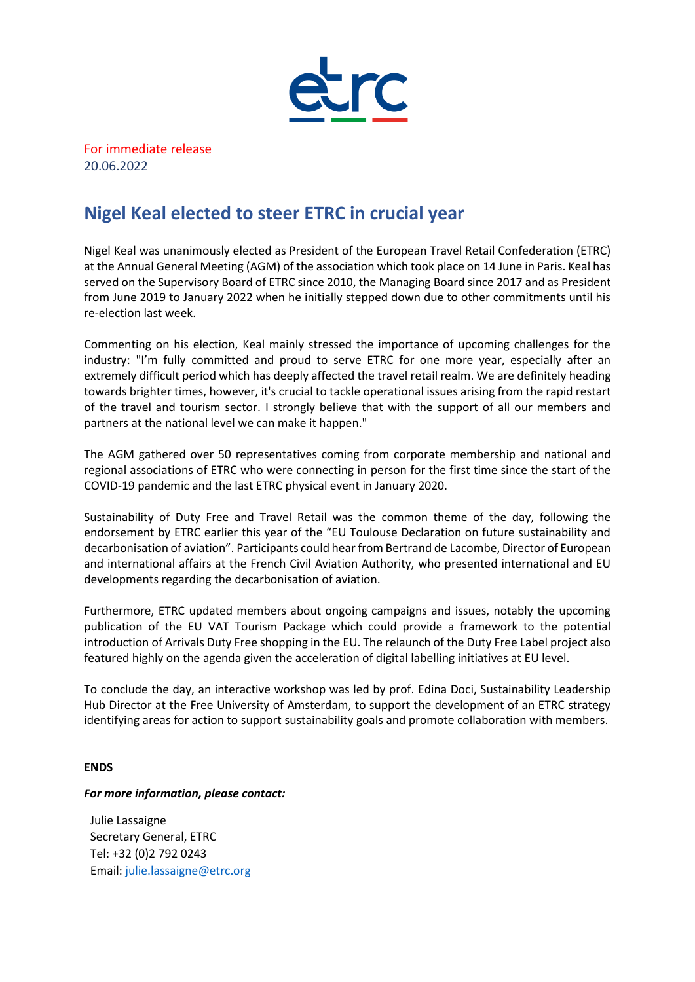

For immediate release 20.06.2022

## **Nigel Keal elected to steer ETRC in crucial year**

Nigel Keal was unanimously elected as President of the European Travel Retail Confederation (ETRC) at the Annual General Meeting (AGM) of the association which took place on 14 June in Paris. Keal has served on the Supervisory Board of ETRC since 2010, the Managing Board since 2017 and as President from June 2019 to January 2022 when he initially stepped down due to other commitments until his re-election last week.

Commenting on his election, Keal mainly stressed the importance of upcoming challenges for the industry: "I'm fully committed and proud to serve ETRC for one more year, especially after an extremely difficult period which has deeply affected the travel retail realm. We are definitely heading towards brighter times, however, it's crucial to tackle operational issues arising from the rapid restart of the travel and tourism sector. I strongly believe that with the support of all our members and partners at the national level we can make it happen."

The AGM gathered over 50 representatives coming from corporate membership and national and regional associations of ETRC who were connecting in person for the first time since the start of the COVID-19 pandemic and the last ETRC physical event in January 2020.

Sustainability of Duty Free and Travel Retail was the common theme of the day, following the endorsement by ETRC earlier this year of the "EU Toulouse Declaration on future sustainability and decarbonisation of aviation". Participants could hear from Bertrand de Lacombe, Director of European and international affairs at the French Civil Aviation Authority, who presented international and EU developments regarding the decarbonisation of aviation.

Furthermore, ETRC updated members about ongoing campaigns and issues, notably the upcoming publication of the EU VAT Tourism Package which could provide a framework to the potential introduction of Arrivals Duty Free shopping in the EU. The relaunch of the Duty Free Label project also featured highly on the agenda given the acceleration of digital labelling initiatives at EU level.

To conclude the day, an interactive workshop was led by prof. Edina Doci, Sustainability Leadership Hub Director at the Free University of Amsterdam, to support the development of an ETRC strategy identifying areas for action to support sustainability goals and promote collaboration with members.

## **ENDS**

## *For more information, please contact:*

Julie Lassaigne Secretary General, ETRC Tel: +32 (0)2 792 0243 Email: [julie.lassaigne@etrc.org](mailto:julie.lassaigne@etrc.org)